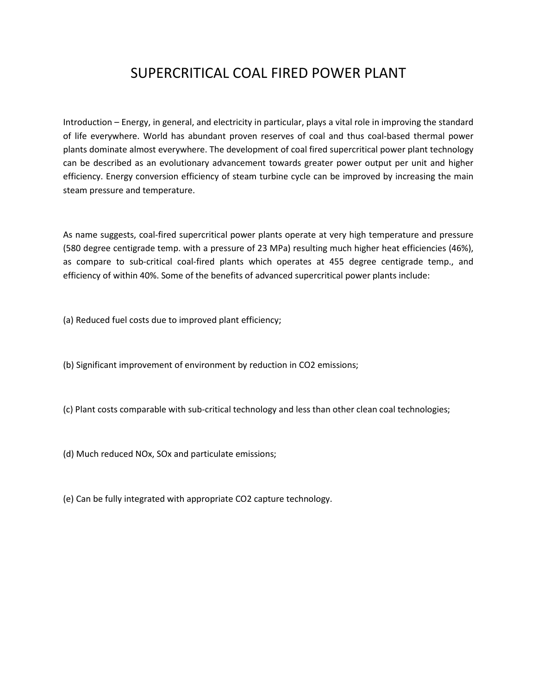## SUPERCRITICAL COAL FIRED POWER PLANT

Introduction – Energy, in general, and electricity in particular, plays a vital role in improving the standard of life everywhere. World has abundant proven reserves of coal and thus coal-based thermal power plants dominate almost everywhere. The development of coal fired supercritical power plant technology can be described as an evolutionary advancement towards greater power output per unit and higher efficiency. Energy conversion efficiency of steam turbine cycle can be improved by increasing the main steam pressure and temperature.

As name suggests, coal-fired supercritical power plants operate at very high temperature and pressure (580 degree centigrade temp. with a pressure of 23 MPa) resulting much higher heat efficiencies (46%), as compare to sub-critical coal-fired plants which operates at 455 degree centigrade temp., and efficiency of within 40%. Some of the benefits of advanced supercritical power plants include:

(a) Reduced fuel costs due to improved plant efficiency;

(b) Significant improvement of environment by reduction in CO2 emissions;

(c) Plant costs comparable with sub-critical technology and less than other clean coal technologies;

(d) Much reduced NOx, SOx and particulate emissions;

(e) Can be fully integrated with appropriate CO2 capture technology.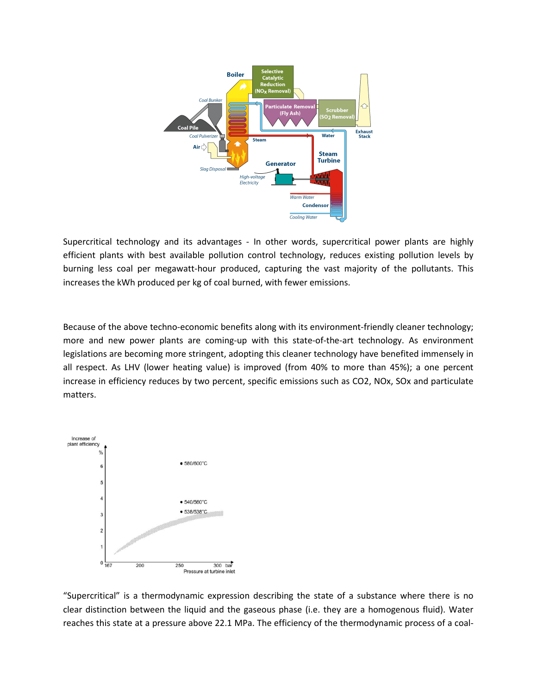

Supercritical technology and its advantages - In other words, supercritical power plants are highly efficient plants with best available pollution control technology, reduces existing pollution levels by burning less coal per megawatt-hour produced, capturing the vast majority of the pollutants. This increases the kWh produced per kg of coal burned, with fewer emissions.

Because of the above techno-economic benefits along with its environment-friendly cleaner technology; more and new power plants are coming-up with this state-of-the-art technology. As environment legislations are becoming more stringent, adopting this cleaner technology have benefited immensely in all respect. As LHV (lower heating value) is improved (from 40% to more than 45%); a one percent increase in efficiency reduces by two percent, specific emissions such as CO2, NOx, SOx and particulate matters.



"Supercritical" is a thermodynamic expression describing the state of a substance where there is no clear distinction between the liquid and the gaseous phase (i.e. they are a homogenous fluid). Water reaches this state at a pressure above 22.1 MPa. The efficiency of the thermodynamic process of a coal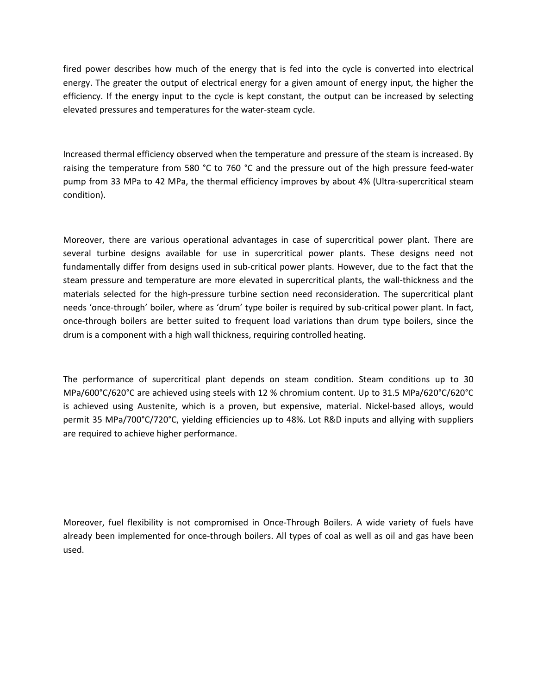fired power describes how much of the energy that is fed into the cycle is converted into electrical energy. The greater the output of electrical energy for a given amount of energy input, the higher the efficiency. If the energy input to the cycle is kept constant, the output can be increased by selecting elevated pressures and temperatures for the water-steam cycle.

Increased thermal efficiency observed when the temperature and pressure of the steam is increased. By raising the temperature from 580 °C to 760 °C and the pressure out of the high pressure feed-water pump from 33 MPa to 42 MPa, the thermal efficiency improves by about 4% (Ultra-supercritical steam condition).

Moreover, there are various operational advantages in case of supercritical power plant. There are several turbine designs available for use in supercritical power plants. These designs need not fundamentally differ from designs used in sub-critical power plants. However, due to the fact that the steam pressure and temperature are more elevated in supercritical plants, the wall-thickness and the materials selected for the high-pressure turbine section need reconsideration. The supercritical plant needs 'once-through' boiler, where as 'drum' type boiler is required by sub-critical power plant. In fact, once-through boilers are better suited to frequent load variations than drum type boilers, since the drum is a component with a high wall thickness, requiring controlled heating.

The performance of supercritical plant depends on steam condition. Steam conditions up to 30 MPa/600°C/620°C are achieved using steels with 12 % chromium content. Up to 31.5 MPa/620°C/620°C is achieved using Austenite, which is a proven, but expensive, material. Nickel-based alloys, would permit 35 MPa/700°C/720°C, yielding efficiencies up to 48%. Lot R&D inputs and allying with suppliers are required to achieve higher performance.

Moreover, fuel flexibility is not compromised in Once-Through Boilers. A wide variety of fuels have already been implemented for once-through boilers. All types of coal as well as oil and gas have been used.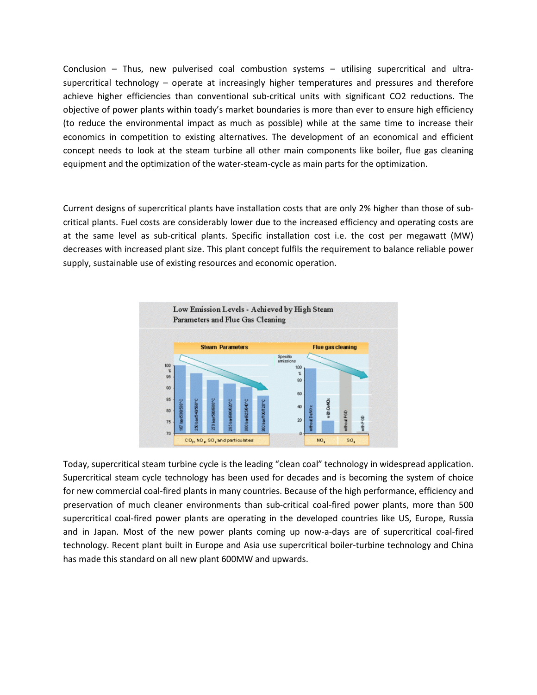Conclusion – Thus, new pulverised coal combustion systems – utilising supercritical and ultrasupercritical technology – operate at increasingly higher temperatures and pressures and therefore achieve higher efficiencies than conventional sub-critical units with significant CO2 reductions. The objective of power plants within toady's market boundaries is more than ever to ensure high efficiency (to reduce the environmental impact as much as possible) while at the same time to increase their economics in competition to existing alternatives. The development of an economical and efficient concept needs to look at the steam turbine all other main components like boiler, flue gas cleaning equipment and the optimization of the water-steam-cycle as main parts for the optimization.

Current designs of supercritical plants have installation costs that are only 2% higher than those of subcritical plants. Fuel costs are considerably lower due to the increased efficiency and operating costs are at the same level as sub-critical plants. Specific installation cost i.e. the cost per megawatt (MW) decreases with increased plant size. This plant concept fulfils the requirement to balance reliable power supply, sustainable use of existing resources and economic operation.



Today, supercritical steam turbine cycle is the leading "clean coal" technology in widespread application. Supercritical steam cycle technology has been used for decades and is becoming the system of choice for new commercial coal-fired plants in many countries. Because of the high performance, efficiency and preservation of much cleaner environments than sub-critical coal-fired power plants, more than 500 supercritical coal-fired power plants are operating in the developed countries like US, Europe, Russia and in Japan. Most of the new power plants coming up now-a-days are of supercritical coal-fired technology. Recent plant built in Europe and Asia use supercritical boiler-turbine technology and China has made this standard on all new plant 600MW and upwards.